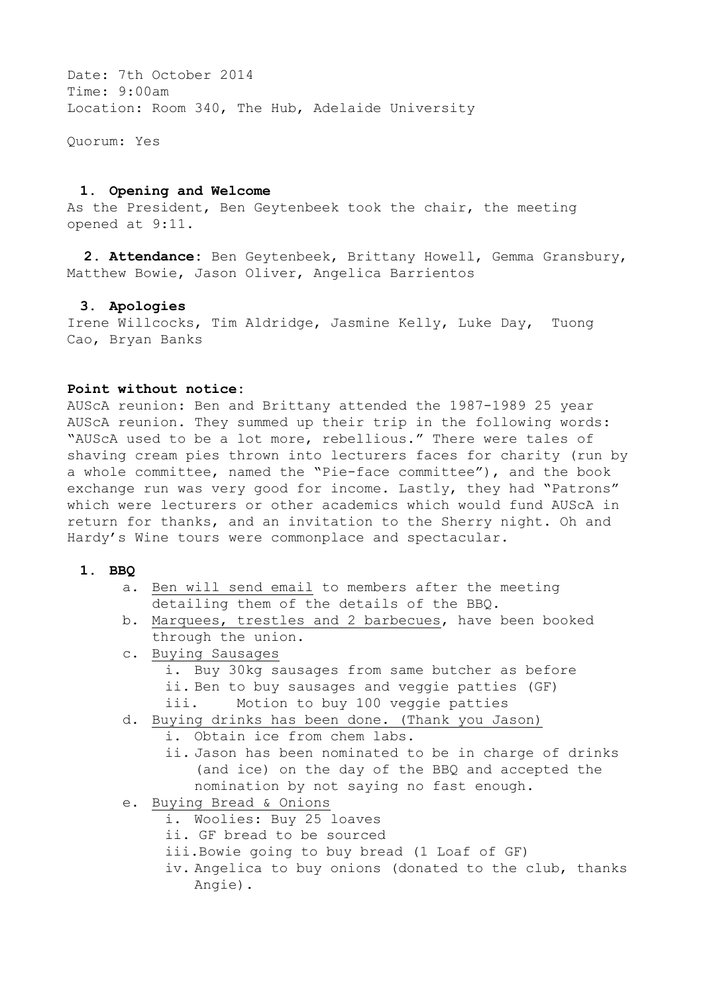Date: 7th October 2014 Time: 9:00am Location: Room 340, The Hub, Adelaide University

Quorum: Yes

### **1. Opening and Welcome**

As the President, Ben Geytenbeek took the chair, the meeting opened at 9:11.

 **2. Attendance:** Ben Geytenbeek, Brittany Howell, Gemma Gransbury, Matthew Bowie, Jason Oliver, Angelica Barrientos

### **3. Apologies**

Irene Willcocks, Tim Aldridge, Jasmine Kelly, Luke Day, Tuong Cao, Bryan Banks

### **Point without notice:**

AUScA reunion: Ben and Brittany attended the 1987-1989 25 year AUScA reunion. They summed up their trip in the following words: "AUScA used to be a lot more, rebellious." There were tales of shaving cream pies thrown into lecturers faces for charity (run by a whole committee, named the "Pie-face committee"), and the book exchange run was very good for income. Lastly, they had "Patrons" which were lecturers or other academics which would fund AUScA in return for thanks, and an invitation to the Sherry night. Oh and Hardy's Wine tours were commonplace and spectacular.

### **1. BBQ**

- a. Ben will send email to members after the meeting detailing them of the details of the BBQ.
- b. Marquees, trestles and 2 barbecues, have been booked through the union.
- c. Buying Sausages
	- i. Buy 30kg sausages from same butcher as before ii. Ben to buy sausages and veggie patties (GF) iii. Motion to buy 100 veggie patties
- d. Buying drinks has been done. (Thank you Jason)
	- i. Obtain ice from chem labs.
		- ii. Jason has been nominated to be in charge of drinks (and ice) on the day of the BBQ and accepted the nomination by not saying no fast enough.
- e. Buying Bread & Onions
	- i. Woolies: Buy 25 loaves
	- ii. GF bread to be sourced
	- iii.Bowie going to buy bread (1 Loaf of GF)
	- iv. Angelica to buy onions (donated to the club, thanks Angie).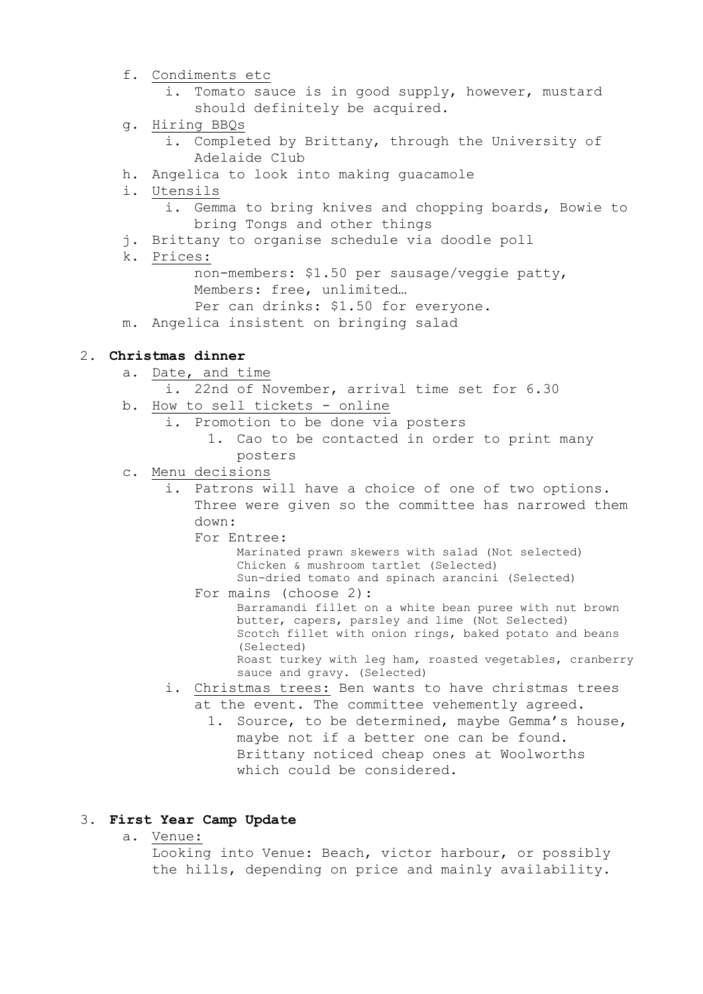- f. Condiments etc
	- i. Tomato sauce is in good supply, however, mustard should definitely be acquired.
- g. Hiring BBQs
	- i. Completed by Brittany, through the University of Adelaide Club
- h. Angelica to look into making guacamole
- i. Utensils
	- i. Gemma to bring knives and chopping boards, Bowie to bring Tongs and other things
- j. Brittany to organise schedule via doodle poll
- k. Prices:
	- non-members: \$1.50 per sausage/veggie patty, Members: free, unlimited…
	- Per can drinks: \$1.50 for everyone.
- m. Angelica insistent on bringing salad

# 2**. Christmas dinner**

- a. Date, and time
	- i. 22nd of November, arrival time set for 6.30
- b. How to sell tickets online
	- i. Promotion to be done via posters
		- 1. Cao to be contacted in order to print many posters
- c. Menu decisions
	- i. Patrons will have a choice of one of two options. Three were given so the committee has narrowed them down:
		-
		- For Entree:<br>Marinated prawn skewers with salad (Not selected) Chicken & mushroom tartlet (Selected) Sun-dried tomato and spinach arancini (Selected)
		- For mains (choose 2):<br>Barramandi fillet on a white bean puree with nut brown butter, capers, parsley and lime (Not Selected) Scotch fillet with onion rings, baked potato and beans (Selected) Roast turkey with leg ham, roasted vegetables, cranberry sauce and gravy. (Selected)
	- i. Christmas trees: Ben wants to have christmas trees at the event. The committee vehemently agreed.
		- 1. Source, to be determined, maybe Gemma's house, maybe not if a better one can be found. Brittany noticed cheap ones at Woolworths which could be considered.

# 3**. First Year Camp Update**

a. Venue:

 Looking into Venue: Beach, victor harbour, or possibly the hills, depending on price and mainly availability.